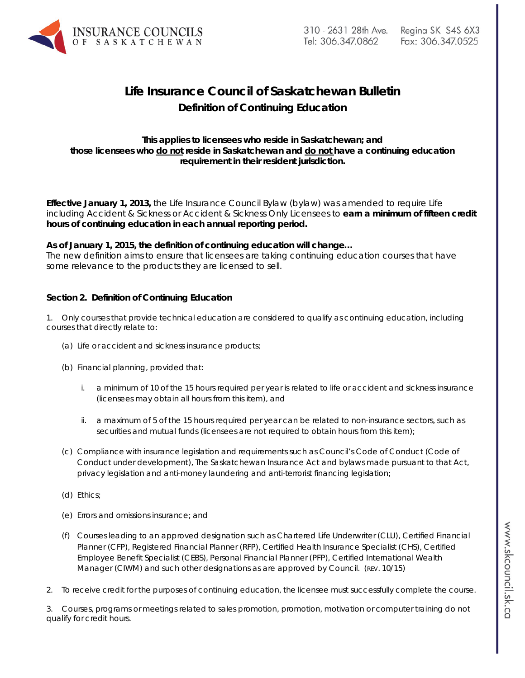

# **Life Insurance Council of Saskatchewan Bulletin Definition of Continuing Education**

# **This applies to licensees who reside in Saskatchewan; and those licensees who do not reside in Saskatchewan and do not have a continuing education requirement in their resident jurisdiction.**

**Effective January 1, 2013,** the Life Insurance Council Bylaw (bylaw) was amended to require Life including Accident & Sickness or Accident & Sickness Only Licensees to **earn a minimum of fifteen credit hours of continuing education in each annual reporting period.**

## **As of January 1, 2015, the definition of continuing education will change…**

The new definition aims to ensure that licensees are taking continuing education courses that have some relevance to the products they are licensed to sell.

# **Section 2. Definition of Continuing Education**

1. Only courses that provide technical education are considered to qualify as continuing education, including courses that directly relate to:

- (a) Life or accident and sickness insurance products;
- (b) Financial planning, provided that:
	- i. a minimum of 10 of the 15 hours required per year is related to life or accident and sickness insurance *(licensees may obtain all hours from this item)*, and
	- ii. a maximum of 5 of the 15 hours required per year can be related to non-insurance sectors, such as securities and mutual funds *(licensees are not required to obtain hours from this item);*
- (c) Compliance with insurance legislation and requirements such as Council's Code of Conduct (*Code of Conduct under development*), *The Saskatchewan Insurance Act* and bylaws made pursuant to that Act, privacy legislation and anti-money laundering and anti-terrorist financing legislation;
- (d) Ethics;
- (e) Errors and omissions insurance; and
- (f) Courses leading to an approved designation such as Chartered Life Underwriter (CLU), Certified Financial Planner (CFP), Registered Financial Planner (RFP), Certified Health Insurance Specialist (CHS), Certified Employee Benefit Specialist (CEBS), Personal Financial Planner (PFP), Certified International Wealth Manager (CIWM) and such other designations as are approved by Council. (REV. 10/15)
- 2. To receive credit for the purposes of continuing education, the licensee must successfully complete the course.

3. Courses, programs or meetings related to sales promotion, promotion, motivation or computer training do not qualify for credit hours.